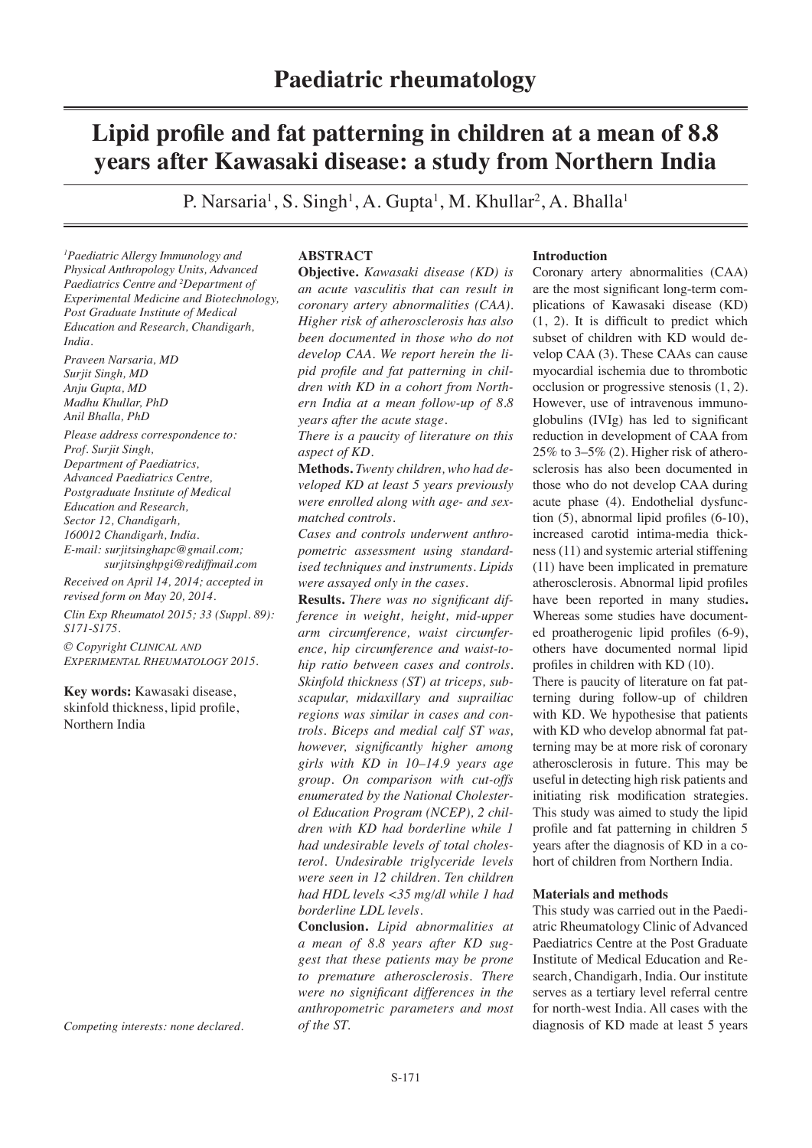# **Lipid profile and fat patterning in children at a mean of 8.8 years after Kawasaki disease: a study from Northern India**

P. Narsaria<sup>1</sup>, S. Singh<sup>1</sup>, A. Gupta<sup>1</sup>, M. Khullar<sup>2</sup>, A. Bhalla<sup>1</sup>

*1 Paediatric Allergy Immunology and Physical Anthropology Units, Advanced Paediatrics Centre and 2 Department of Experimental Medicine and Biotechnology, Post Graduate Institute of Medical Education and Research, Chandigarh, India.*

*Praveen Narsaria, MD Surjit Singh, MD Anju Gupta, MD Madhu Khullar, PhD Anil Bhalla, PhD Please address correspondence to: Prof. Surjit Singh, Department of Paediatrics, Advanced Paediatrics Centre, Postgraduate Institute of Medical Education and Research, Sector 12, Chandigarh, 160012 Chandigarh, India. E-mail: surjitsinghapc@gmail.com; surjitsinghpgi@rediffmail.com Received on April 14, 2014; accepted in revised form on May 20, 2014.*

*Clin Exp Rheumatol 2015; 33 (Suppl. 89): S171-S175.*

*© Copyright Clinical and Experimental Rheumatology 2015.*

**Key words:** Kawasaki disease, skinfold thickness, lipid profile, Northern India

*Competing interests: none declared.*

# **ABSTRACT**

**Objective.** *Kawasaki disease (KD) is an acute vasculitis that can result in coronary artery abnormalities (CAA). Higher risk of atherosclerosis has also been documented in those who do not develop CAA. We report herein the lipid profile and fat patterning in children with KD in a cohort from Northern India at a mean follow-up of 8.8 years after the acute stage.* 

*There is a paucity of literature on this aspect of KD.*

**Methods.** *Twenty children, who had developed KD at least 5 years previously were enrolled along with age- and sexmatched controls.* 

*Cases and controls underwent anthropometric assessment using standardised techniques and instruments. Lipids were assayed only in the cases.* 

**Results.** *There was no significant difference in weight, height, mid-upper arm circumference, waist circumference, hip circumference and waist-tohip ratio between cases and controls. Skinfold thickness (ST) at triceps, subscapular, midaxillary and suprailiac regions was similar in cases and controls. Biceps and medial calf ST was, however, significantly higher among girls with KD in 10–14.9 years age group. On comparison with cut-offs enumerated by the National Cholesterol Education Program (NCEP), 2 children with KD had borderline while 1 had undesirable levels of total cholesterol. Undesirable triglyceride levels were seen in 12 children. Ten children had HDL levels <35 mg/dl while 1 had borderline LDL levels.* 

**Conclusion.** *Lipid abnormalities at a mean of 8.8 years after KD suggest that these patients may be prone to premature atherosclerosis. There were no significant differences in the anthropometric parameters and most of the ST.* 

# **Introduction**

Coronary artery abnormalities (CAA) are the most significant long-term complications of Kawasaki disease (KD) (1, 2). It is difficult to predict which subset of children with KD would develop CAA (3). These CAAs can cause myocardial ischemia due to thrombotic occlusion or progressive stenosis (1, 2). However, use of intravenous immunoglobulins (IVIg) has led to significant reduction in development of CAA from 25% to 3–5% (2). Higher risk of atherosclerosis has also been documented in those who do not develop CAA during acute phase (4). Endothelial dysfunction (5), abnormal lipid profiles (6-10), increased carotid intima-media thickness (11) and systemic arterial stiffening (11) have been implicated in premature atherosclerosis. Abnormal lipid profiles have been reported in many studies**.**  Whereas some studies have documented proatherogenic lipid profiles (6-9), others have documented normal lipid profiles in children with KD (10).

There is paucity of literature on fat patterning during follow-up of children with KD. We hypothesise that patients with KD who develop abnormal fat patterning may be at more risk of coronary atherosclerosis in future. This may be useful in detecting high risk patients and initiating risk modification strategies. This study was aimed to study the lipid profile and fat patterning in children 5 years after the diagnosis of KD in a cohort of children from Northern India.

#### **Materials and methods**

This study was carried out in the Paediatric Rheumatology Clinic of Advanced Paediatrics Centre at the Post Graduate Institute of Medical Education and Research, Chandigarh, India. Our institute serves as a tertiary level referral centre for north-west India. All cases with the diagnosis of KD made at least 5 years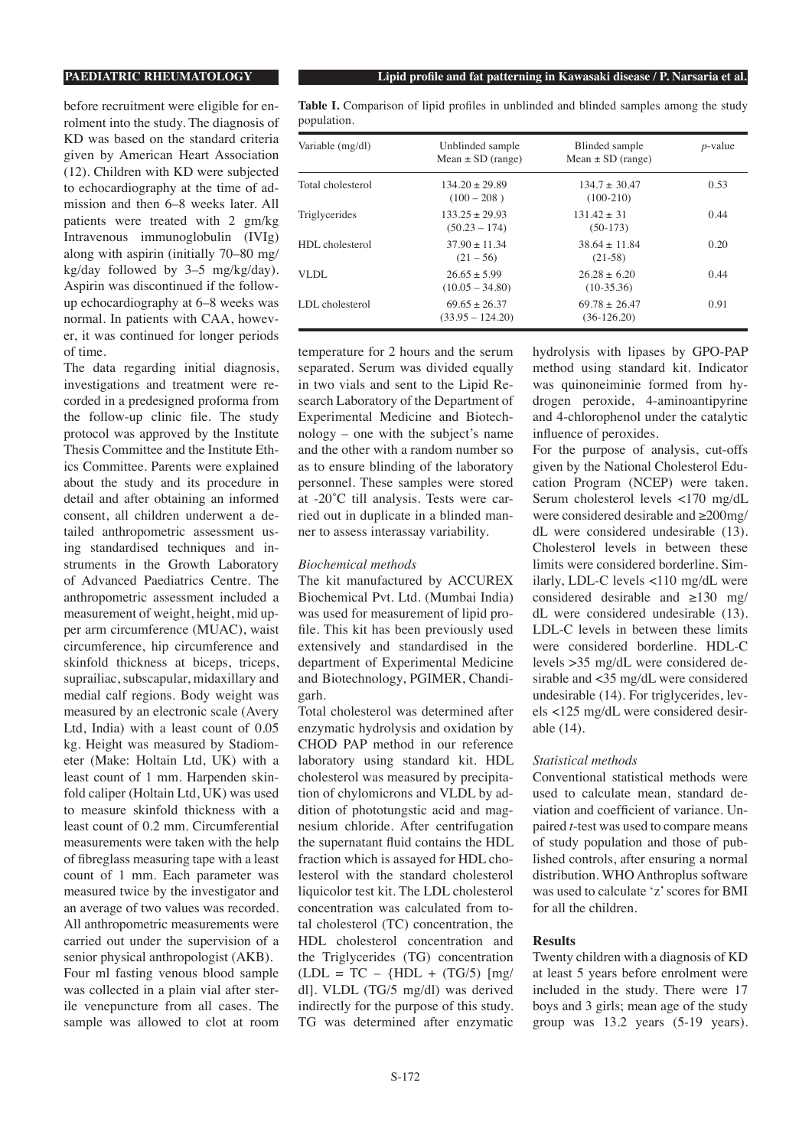before recruitment were eligible for enrolment into the study. The diagnosis of KD was based on the standard criteria given by American Heart Association (12). Children with KD were subjected to echocardiography at the time of admission and then 6–8 weeks later. All patients were treated with 2 gm/kg Intravenous immunoglobulin (IVIg) along with aspirin (initially 70–80 mg/ kg/day followed by 3–5 mg/kg/day). Aspirin was discontinued if the followup echocardiography at 6–8 weeks was normal. In patients with CAA, however, it was continued for longer periods of time.

The data regarding initial diagnosis, investigations and treatment were recorded in a predesigned proforma from the follow-up clinic file. The study protocol was approved by the Institute Thesis Committee and the Institute Ethics Committee. Parents were explained about the study and its procedure in detail and after obtaining an informed consent, all children underwent a detailed anthropometric assessment using standardised techniques and instruments in the Growth Laboratory of Advanced Paediatrics Centre. The anthropometric assessment included a measurement of weight, height, mid upper arm circumference (MUAC), waist circumference, hip circumference and skinfold thickness at biceps, triceps, suprailiac, subscapular, midaxillary and medial calf regions. Body weight was measured by an electronic scale (Avery Ltd, India) with a least count of 0.05 kg. Height was measured by Stadiometer (Make: Holtain Ltd, UK) with a least count of 1 mm. Harpenden skinfold caliper (Holtain Ltd, UK) was used to measure skinfold thickness with a least count of 0.2 mm. Circumferential measurements were taken with the help of fibreglass measuring tape with a least count of 1 mm. Each parameter was measured twice by the investigator and an average of two values was recorded. All anthropometric measurements were carried out under the supervision of a senior physical anthropologist (AKB). Four ml fasting venous blood sample was collected in a plain vial after sterile venepuncture from all cases. The sample was allowed to clot at room

**Table I.** Comparison of lipid profiles in unblinded and blinded samples among the study population.

| Variable (mg/dl)  | Unblinded sample<br>Mean $\pm$ SD (range) | Blinded sample<br>Mean $\pm$ SD (range) | $p$ -value |  |  |
|-------------------|-------------------------------------------|-----------------------------------------|------------|--|--|
| Total cholesterol | $134.20 + 29.89$<br>$(100 - 208)$         | $134.7 + 30.47$<br>$(100-210)$          | 0.53       |  |  |
| Triglycerides     | $133.25 + 29.93$<br>$(50.23 - 174)$       | $131.42 + 31$<br>$(50-173)$             | 0.44       |  |  |
| HDL cholesterol   | $37.90 + 11.34$<br>$(21 - 56)$            | $38.64 + 11.84$<br>$(21-58)$            | 0.20       |  |  |
| VLDL              | $26.65 + 5.99$<br>$(10.05 - 34.80)$       | $26.28 + 6.20$<br>$(10-35.36)$          | 0.44       |  |  |
| LDL cholesterol   | $69.65 + 26.37$<br>$(33.95 - 124.20)$     | $69.78 + 26.47$<br>$(36-126.20)$        | 0.91       |  |  |

temperature for 2 hours and the serum separated. Serum was divided equally in two vials and sent to the Lipid Research Laboratory of the Department of Experimental Medicine and Biotechnology – one with the subject's name and the other with a random number so as to ensure blinding of the laboratory personnel. These samples were stored at -20˚C till analysis. Tests were carried out in duplicate in a blinded manner to assess interassay variability.

### *Biochemical methods*

The kit manufactured by ACCUREX Biochemical Pvt. Ltd. (Mumbai India) was used for measurement of lipid profile. This kit has been previously used extensively and standardised in the department of Experimental Medicine and Biotechnology, PGIMER, Chandigarh.

Total cholesterol was determined after enzymatic hydrolysis and oxidation by CHOD PAP method in our reference laboratory using standard kit. HDL cholesterol was measured by precipitation of chylomicrons and VLDL by addition of phototungstic acid and magnesium chloride. After centrifugation the supernatant fluid contains the HDL fraction which is assayed for HDL cholesterol with the standard cholesterol liquicolor test kit. The LDL cholesterol concentration was calculated from total cholesterol (TC) concentration, the HDL cholesterol concentration and the Triglycerides (TG) concentration  $(LDL = TC - {HDL + (TG/5)} [mg/$ dl]. VLDL (TG/5 mg/dl) was derived indirectly for the purpose of this study. TG was determined after enzymatic hydrolysis with lipases by GPO-PAP method using standard kit. Indicator was quinoneiminie formed from hydrogen peroxide, 4-aminoantipyrine and 4-chlorophenol under the catalytic influence of peroxides.

For the purpose of analysis, cut-offs given by the National Cholesterol Education Program (NCEP) were taken. Serum cholesterol levels <170 mg/dL were considered desirable and ≥200mg/ dL were considered undesirable (13). Cholesterol levels in between these limits were considered borderline. Similarly, LDL-C levels <110 mg/dL were considered desirable and ≥130 mg/ dL were considered undesirable (13). LDL-C levels in between these limits were considered borderline. HDL-C levels >35 mg/dL were considered desirable and <35 mg/dL were considered undesirable (14). For triglycerides, levels <125 mg/dL were considered desirable (14).

# *Statistical methods*

Conventional statistical methods were used to calculate mean, standard deviation and coefficient of variance. Unpaired *t*-test was used to compare means of study population and those of published controls, after ensuring a normal distribution. WHO Anthroplus software was used to calculate 'z' scores for BMI for all the children.

# **Results**

Twenty children with a diagnosis of KD at least 5 years before enrolment were included in the study. There were 17 boys and 3 girls; mean age of the study group was 13.2 years (5-19 years).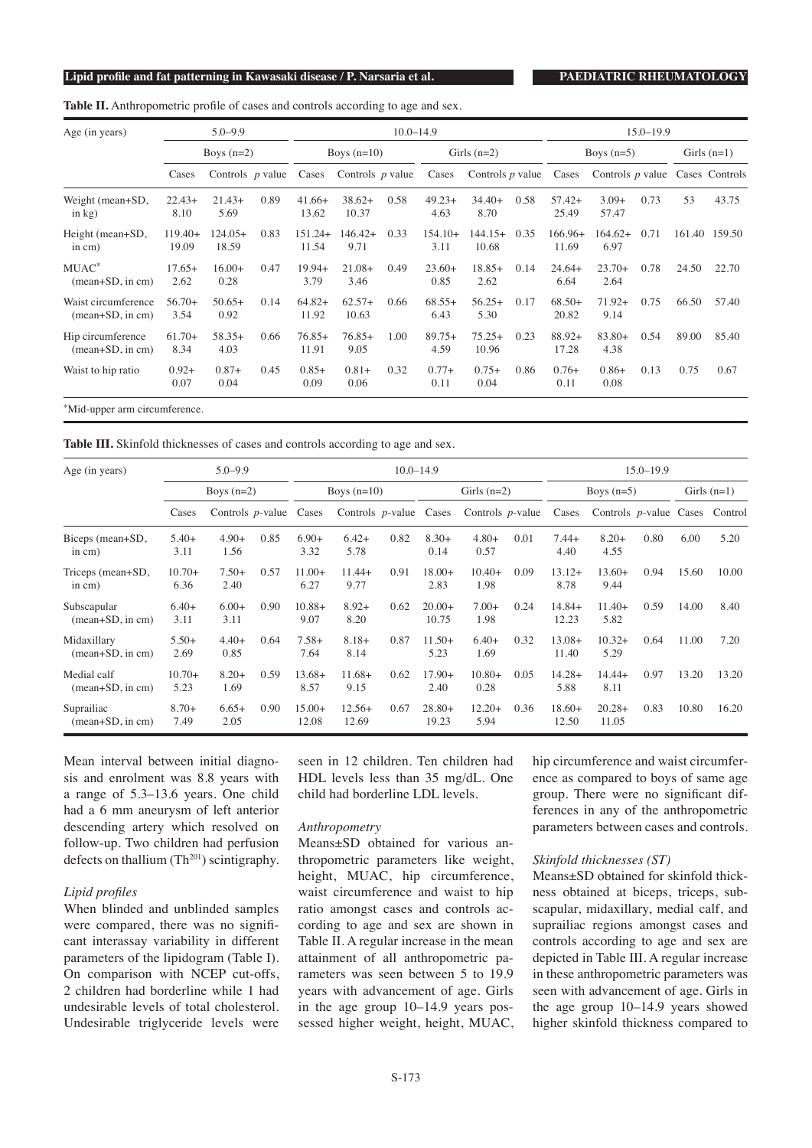### **Lipid profile and fat patterning in Kawasaki disease / P. Narsaria et al. PAEDIATRIC RHEUMATOLOGY**

**Table II.** Anthropometric profile of cases and controls according to age and sex.

| $5.0 - 9.9$<br>Boys $(n=2)$ |                    |      |                    |                   |           |                    | $15.0 - 19.9$      |      |                    |                   |      |               |                    |
|-----------------------------|--------------------|------|--------------------|-------------------|-----------|--------------------|--------------------|------|--------------------|-------------------|------|---------------|--------------------|
|                             |                    |      | Boys $(n=10)$      |                   |           | Girls $(n=2)$      |                    |      | Boys $(n=5)$       |                   |      | Girls $(n=1)$ |                    |
| Cases                       |                    |      | Cases              |                   |           | Cases              |                    |      | Cases              |                   |      |               | Cases Controls     |
| $22.43+$<br>8.10            | $21.43+$<br>5.69   | 0.89 | $41.66+$<br>13.62  | $38.62+$<br>10.37 | 0.58      | $49.23+$<br>4.63   | $34.40+$<br>8.70   | 0.58 | $57.42+$<br>25.49  | $3.09+$<br>57.47  | 0.73 | 53            | 43.75              |
| $119.40+$<br>19.09          | $124.05+$<br>18.59 | 0.83 | 11.54              | $146.42+$<br>9.71 | 0.33      | $154.10+$<br>3.11  | $144.15+$<br>10.68 | 0.35 | $166.96+$<br>11.69 | $164.62+$<br>6.97 | 0.71 | 161.40        | 159.50             |
| $17.65+$<br>2.62            | $16.00+$<br>0.28   | 0.47 | $19.94+$<br>3.79   | $21.08+$<br>3.46  | 0.49      | $23.60+$<br>0.85   | $18.85+$<br>2.62   | 0.14 | $24.64+$<br>6.64   | $23.70+$<br>2.64  | 0.78 | 24.50         | 22.70              |
| $56.70+$<br>3.54            | $50.65+$<br>0.92   | 0.14 | $64.82+$<br>11.92  | $62.57+$<br>10.63 | 0.66      | $68.55+$<br>6.43   | $56.25+$<br>5.30   | 0.17 | $68.50+$<br>20.82  | $71.92+$<br>9.14  | 0.75 | 66.50         | 57.40              |
| $61.70+$<br>8.34            | $58.35+$<br>4.03   | 0.66 | $76.85+$<br>11.91  | $76.85+$<br>9.05  | 1.00      | $89.75+$<br>4.59   | $75.25+$<br>10.96  | 0.23 | 88.92+<br>17.28    | $83.80+$<br>4.38  | 0.54 | 89.00         | 85.40              |
| $0.92+$<br>0.07             | $0.87+$<br>0.04    | 0.45 | $0.85+$<br>0.09    | $0.81+$<br>0.06   | 0.32      | $0.77+$<br>0.11    | $0.75+$<br>0.04    | 0.86 | $0.76+$<br>0.11    | $0.86+$<br>0.08   | 0.13 | 0.75          | 0.67               |
|                             |                    |      | Controls $p$ value |                   | $151.24+$ | Controls $p$ value | $10.0 - 14.9$      |      | Controls $p$ value |                   |      |               | Controls $p$ value |

\*Mid-upper arm circumference.

**Table III.** Skinfold thicknesses of cases and controls according to age and sex.

| Age (in years)                    | $5.0 - 9.9$<br>Boys $(n=2)$ |                           |      |                   |                           | $10.0 - 14.9$ |                   | $15.0 - 19.9$       |      |                   |                                        |      |               |       |
|-----------------------------------|-----------------------------|---------------------------|------|-------------------|---------------------------|---------------|-------------------|---------------------|------|-------------------|----------------------------------------|------|---------------|-------|
|                                   |                             |                           |      | Boys $(n=10)$     |                           |               | Girls $(n=2)$     |                     |      | Boys $(n=5)$      |                                        |      | Girls $(n=1)$ |       |
|                                   | Cases                       | Controls $p$ -value Cases |      |                   | Controls $p$ -value Cases |               |                   | Controls $p$ -value |      | Cases             | Controls <i>p</i> -value Cases Control |      |               |       |
| Biceps (mean+SD,<br>in $cm)$      | $5.40+$<br>3.11             | $4.90+$<br>1.56           | 0.85 | $6.90+$<br>3.32   | $6.42+$<br>5.78           | 0.82          | $8.30+$<br>0.14   | $4.80+$<br>0.57     | 0.01 | $7.44+$<br>4.40   | $8.20+$<br>4.55                        | 0.80 | 6.00          | 5.20  |
| Triceps (mean+SD,<br>in $cm)$     | $10.70+$<br>6.36            | $7.50+$<br>2.40           | 0.57 | $11.00+$<br>6.27  | $11.44+$<br>9.77          | 0.91          | $18.00+$<br>2.83  | $10.40+$<br>1.98    | 0.09 | $13.12+$<br>8.78  | $13.60+$<br>9.44                       | 0.94 | 15.60         | 10.00 |
| Subscapular<br>$(mean+SD, in cm)$ | $6.40+$<br>3.11             | $6.00+$<br>3.11           | 0.90 | $10.88+$<br>9.07  | $8.92+$<br>8.20           | 0.62          | $20.00+$<br>10.75 | $7.00+$<br>1.98     | 0.24 | $14.84+$<br>12.23 | $11.40+$<br>5.82                       | 0.59 | 14.00         | 8.40  |
| Midaxillary<br>$mean+SD$ , in cm) | $5.50+$<br>2.69             | $4.40+$<br>0.85           | 0.64 | $7.58+$<br>7.64   | $8.18+$<br>8.14           | 0.87          | $11.50+$<br>5.23  | $6.40+$<br>1.69     | 0.32 | $13.08+$<br>11.40 | $10.32+$<br>5.29                       | 0.64 | 11.00         | 7.20  |
| Medial calf<br>$(mean+SD, in cm)$ | $10.70+$<br>5.23            | $8.20+$<br>1.69           | 0.59 | $13.68+$<br>8.57  | $11.68+$<br>9.15          | 0.62          | $17.90+$<br>2.40  | $10.80+$<br>0.28    | 0.05 | $14.28+$<br>5.88  | $14.44+$<br>8.11                       | 0.97 | 13.20         | 13.20 |
| Suprailiac<br>$(mean+SD, in cm)$  | $8.70+$<br>7.49             | $6.65+$<br>2.05           | 0.90 | $15.00+$<br>12.08 | $12.56+$<br>12.69         | 0.67          | $28.80+$<br>19.23 | $12.20+$<br>5.94    | 0.36 | $18.60+$<br>12.50 | $20.28+$<br>11.05                      | 0.83 | 10.80         | 16.20 |

Mean interval between initial diagnosis and enrolment was 8.8 years with a range of 5.3–13.6 years. One child had a 6 mm aneurysm of left anterior descending artery which resolved on follow-up. Two children had perfusion defects on thallium  $(Th<sup>201</sup>)$  scintigraphy.

# *Lipid profiles*

When blinded and unblinded samples were compared, there was no significant interassay variability in different parameters of the lipidogram (Table I). On comparison with NCEP cut-offs, 2 children had borderline while 1 had undesirable levels of total cholesterol. Undesirable triglyceride levels were

seen in 12 children. Ten children had HDL levels less than 35 mg/dL. One child had borderline LDL levels.

# *Anthropometry*

Means±SD obtained for various anthropometric parameters like weight, height, MUAC, hip circumference, waist circumference and waist to hip ratio amongst cases and controls according to age and sex are shown in Table II. A regular increase in the mean attainment of all anthropometric parameters was seen between 5 to 19.9 years with advancement of age. Girls in the age group 10–14.9 years possessed higher weight, height, MUAC, hip circumference and waist circumference as compared to boys of same age group. There were no significant differences in any of the anthropometric parameters between cases and controls.

### *Skinfold thicknesses (ST)*

Means±SD obtained for skinfold thickness obtained at biceps, triceps, subscapular, midaxillary, medial calf, and suprailiac regions amongst cases and controls according to age and sex are depicted in Table III. A regular increase in these anthropometric parameters was seen with advancement of age. Girls in the age group 10–14.9 years showed higher skinfold thickness compared to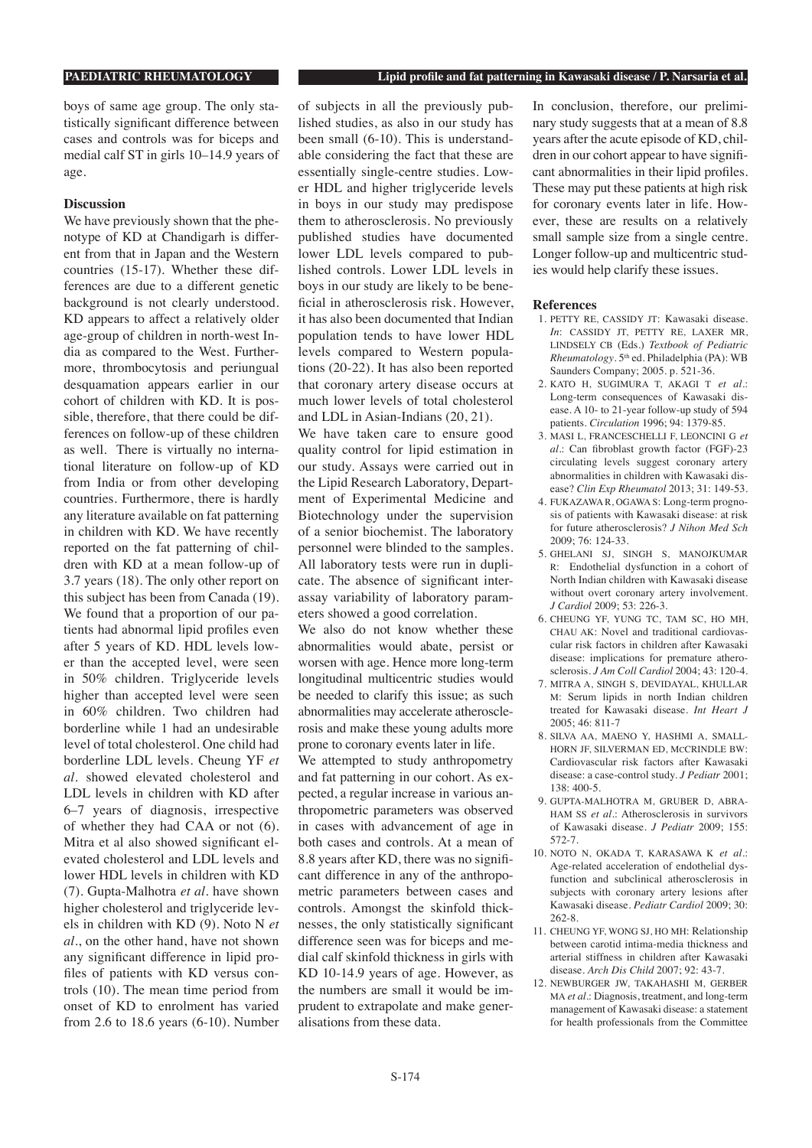boys of same age group. The only statistically significant difference between cases and controls was for biceps and medial calf ST in girls 10–14.9 years of age.

# **Discussion**

We have previously shown that the phenotype of KD at Chandigarh is different from that in Japan and the Western countries (15-17). Whether these differences are due to a different genetic background is not clearly understood. KD appears to affect a relatively older age-group of children in north-west India as compared to the West. Furthermore, thrombocytosis and periungual desquamation appears earlier in our cohort of children with KD. It is possible, therefore, that there could be differences on follow-up of these children as well. There is virtually no international literature on follow-up of KD from India or from other developing countries. Furthermore, there is hardly any literature available on fat patterning in children with KD. We have recently reported on the fat patterning of children with KD at a mean follow-up of 3.7 years (18). The only other report on this subject has been from Canada (19). We found that a proportion of our patients had abnormal lipid profiles even after 5 years of KD. HDL levels lower than the accepted level, were seen in 50% children. Triglyceride levels higher than accepted level were seen in 60% children. Two children had borderline while 1 had an undesirable level of total cholesterol. One child had borderline LDL levels. Cheung YF *et al.* showed elevated cholesterol and LDL levels in children with KD after 6–7 years of diagnosis, irrespective of whether they had CAA or not (6). Mitra et al also showed significant elevated cholesterol and LDL levels and lower HDL levels in children with KD (7). Gupta-Malhotra *et al.* have shown higher cholesterol and triglyceride levels in children with KD (9). Noto N *et al.*, on the other hand, have not shown any significant difference in lipid profiles of patients with KD versus controls (10). The mean time period from onset of KD to enrolment has varied from 2.6 to 18.6 years (6-10). Number

of subjects in all the previously published studies, as also in our study has been small (6-10). This is understandable considering the fact that these are essentially single-centre studies. Lower HDL and higher triglyceride levels in boys in our study may predispose them to atherosclerosis. No previously published studies have documented lower LDL levels compared to published controls. Lower LDL levels in boys in our study are likely to be beneficial in atherosclerosis risk. However, it has also been documented that Indian population tends to have lower HDL levels compared to Western populations (20-22). It has also been reported that coronary artery disease occurs at much lower levels of total cholesterol and LDL in Asian-Indians (20, 21).

We have taken care to ensure good quality control for lipid estimation in our study. Assays were carried out in the Lipid Research Laboratory, Department of Experimental Medicine and Biotechnology under the supervision of a senior biochemist. The laboratory personnel were blinded to the samples. All laboratory tests were run in duplicate. The absence of significant interassay variability of laboratory parameters showed a good correlation.

We also do not know whether these abnormalities would abate, persist or worsen with age. Hence more long-term longitudinal multicentric studies would be needed to clarify this issue; as such abnormalities may accelerate atherosclerosis and make these young adults more prone to coronary events later in life.

We attempted to study anthropometry and fat patterning in our cohort. As expected, a regular increase in various anthropometric parameters was observed in cases with advancement of age in both cases and controls. At a mean of 8.8 years after KD, there was no significant difference in any of the anthropometric parameters between cases and controls. Amongst the skinfold thicknesses, the only statistically significant difference seen was for biceps and medial calf skinfold thickness in girls with KD 10-14.9 years of age. However, as the numbers are small it would be imprudent to extrapolate and make generalisations from these data.

In conclusion, therefore, our preliminary study suggests that at a mean of 8.8 years after the acute episode of KD, children in our cohort appear to have significant abnormalities in their lipid profiles. These may put these patients at high risk for coronary events later in life. However, these are results on a relatively small sample size from a single centre. Longer follow-up and multicentric studies would help clarify these issues.

#### **References**

- 1. PETTY RE, CASSIDY JT: Kawasaki disease. *In*: CASSIDY JT, PETTY RE, LAXER MR, LINDSELY CB (Eds.) *Textbook of Pediatric Rheumatology*. 5th ed. Philadelphia (PA): WB Saunders Company; 2005. p. 521-36.
- 2. KATO H, SUGIMURA T, AKAGI T *et al.*: Long-term consequences of Kawasaki disease. A 10- to 21-year follow-up study of 594 patients. *Circulation* 1996; 94: 1379-85.
- 3. MASI L, FRANCESCHELLI F, LEONCINI G *et al.*: Can fibroblast growth factor (FGF)-23 circulating levels suggest coronary artery abnormalities in children with Kawasaki disease? *Clin Exp Rheumatol* 2013; 31: 149-53.
- 4. FUKAZAWA R, OGAWA S: Long-term prognosis of patients with Kawasaki disease: at risk for future atherosclerosis? *J Nihon Med Sch* 2009; 76: 124-33.
- 5. GHELANI SJ, SINGH S, MANOJKUMAR R: Endothelial dysfunction in a cohort of North Indian children with Kawasaki disease without overt coronary artery involvement. *J Cardiol* 2009; 53: 226-3.
- 6. CHEUNG YF, YUNG TC, TAM SC, HO MH, CHAU AK: Novel and traditional cardiovascular risk factors in children after Kawasaki disease: implications for premature atherosclerosis. *J Am Coll Cardiol* 2004; 43: 120-4.
- 7. MITRA A, SINGH S, DEVIDAYAL, KHULLAR M: Serum lipids in north Indian children treated for Kawasaki disease. *Int Heart J* 2005; 46: 811-7
- 8. SILVA AA, MAENO Y, HASHMI A, SMALL-HORN JF, SILVERMAN ED, MCCRINDLE BW: Cardiovascular risk factors after Kawasaki disease: a case-control study. *J Pediatr* 2001; 138: 400-5.
- 9. GUPTA-MALHOTRA M, GRUBER D, ABRA-HAM SS *et al.*: Atherosclerosis in survivors of Kawasaki disease. *J Pediatr* 2009; 155: 572-7.
- 10. NOTO N, OKADA T, KARASAWA K *et al.*: Age-related acceleration of endothelial dysfunction and subclinical atherosclerosis in subjects with coronary artery lesions after Kawasaki disease. *Pediatr Cardiol* 2009; 30: 262-8.
- 11. CHEUNG YF, WONG SJ, HO MH: Relationship between carotid intima-media thickness and arterial stiffness in children after Kawasaki disease. *Arch Dis Child* 2007; 92: 43-7.
- 12. NEWBURGER JW, TAKAHASHI M, GERBER MA *et al.*: Diagnosis, treatment, and long-term management of Kawasaki disease: a statement for health professionals from the Committee